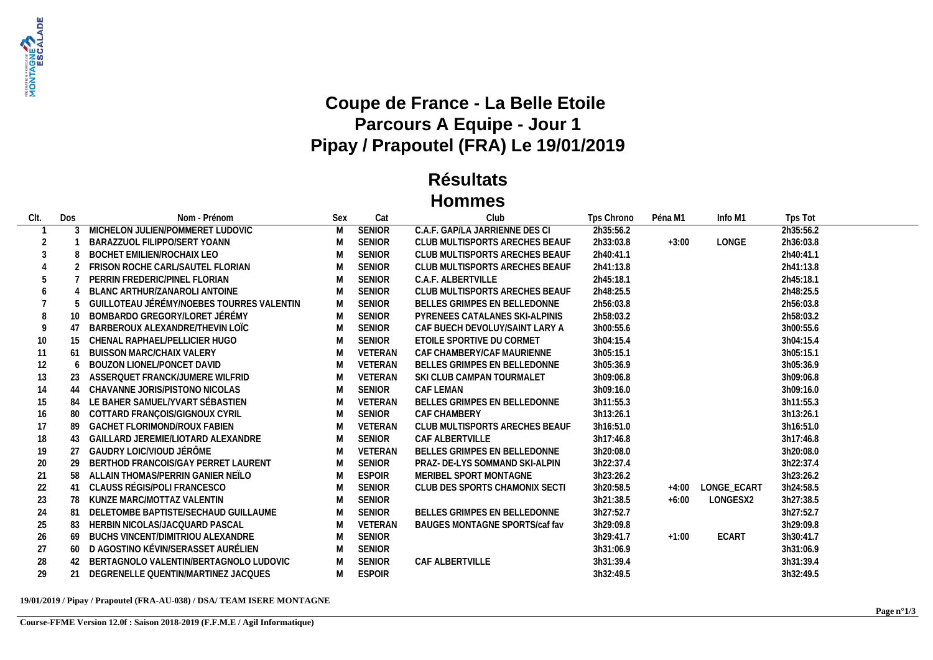

## **Coupe de France - La Belle Etoile Parcours A Equipe - Jour 1 Pipay / Prapoutel (FRA) Le 19/01/2019**

## **Résultats Hommes**

| CIt. | Dos            | Nom - Prénom                              | Sex | Cat           | Club                           | Tps Chrono | Péna M1 | Info M1           | Tps Tot   |
|------|----------------|-------------------------------------------|-----|---------------|--------------------------------|------------|---------|-------------------|-----------|
|      |                | 3 MICHELON JULIEN/POMMERET LUDOVIC        | M   | <b>SENIOR</b> | C.A.F. GAP/LA JARRIENNE DES CL | 2h35:56.2  |         |                   | 2h35:56.2 |
| 2    |                | BARAZZUOL FILIPPO/SERT YOANN              | M   | <b>SENIOR</b> | CLUB MULTISPORTS ARECHES BEAUF | 2h33:03.8  | $+3:00$ | LONGE             | 2h36:03.8 |
| 3    |                | BOCHET EMILIEN/ROCHAIX LEO                | M   | <b>SENIOR</b> | CLUB MULTISPORTS ARECHES BEAUF | 2h40:41.1  |         |                   | 2h40:41.1 |
|      |                | 2 FRISON ROCHE CARL/SAUTEL FLORIAN        | M   | SENIOR        | CLUB MULTISPORTS ARECHES BEAUF | 2h41:13.8  |         |                   | 2h41:13.8 |
|      |                | PERRIN FREDERIC/PINEL FLORIAN             | M   | <b>SENIOR</b> | C.A.F. ALBERTVILLE             | 2h45:18.1  |         |                   | 2h45:18.1 |
|      |                | BLANC ARTHUR/ZANAROLI ANTOINE             | M   | <b>SENIOR</b> | CLUB MULTISPORTS ARECHES BEAUF | 2h48:25.5  |         |                   | 2h48:25.5 |
|      |                | GUILLOTEAU JÉRÉMY/NOEBES TOURRES VALENTIN | M   | SENIOR        | BELLES GRIMPES EN BELLEDONNE   | 2h56:03.8  |         |                   | 2h56:03.8 |
|      |                | BOMBARDO GREGORY/LORET JÉRÉMY             | M   | SENIOR        | PYRENEES CATALANES SKI-ALPINIS | 2h58:03.2  |         |                   | 2h58:03.2 |
|      | 4 <sub>1</sub> | BARBEROUX ALEXANDRE/THEVIN LOIC           | M   | <b>SENIOR</b> | CAF BUECH DEVOLUY/SAINT LARY A | 3h00:55.6  |         |                   | 3h00:55.6 |
| 10   | 15             | CHENAL RAPHAEL/PELLICIER HUGO             | M   | <b>SENIOR</b> | ETOILE SPORTIVE DU CORMET      | 3h04:15.4  |         |                   | 3h04:15.4 |
| 11   | 61             | <b>BUISSON MARC/CHAIX VALERY</b>          | M   | VETERAN       | CAF CHAMBERY/CAF MAURIENNE     | 3h05:15.1  |         |                   | 3h05:15.1 |
| 12   | 6              | BOUZON LIONEL/PONCET DAVID                | M   | VETERAN       | BELLES GRIMPES EN BELLEDONNE   | 3h05:36.9  |         |                   | 3h05:36.9 |
| 13   |                | ASSERQUET FRANCK/JUMERE WILFRID           | M   | VETERAN       | SKI CLUB CAMPAN TOURMALET      | 3h09:06.8  |         |                   | 3h09:06.8 |
| 14   | 44             | CHAVANNE JORIS/PISTONO NICOLAS            | M   | <b>SENIOR</b> | CAF LEMAN                      | 3h09:16.0  |         |                   | 3h09:16.0 |
| 15   | 84             | LE BAHER SAMUEL/YVART SÉBASTIEN           | M   | VETERAN       | BELLES GRIMPES EN BELLEDONNE   | 3h11:55.3  |         |                   | 3h11:55.3 |
| 16   | 80             | COTTARD FRANÇOIS/GIGNOUX CYRIL            | M   | SENIOR        | <b>CAF CHAMBERY</b>            | 3h13:26.1  |         |                   | 3h13:26.1 |
| 17   | -89            | GACHET FLORIMOND/ROUX FABIEN              | M   | VETERAN       | CLUB MULTISPORTS ARECHES BEAUF | 3h16:51.0  |         |                   | 3h16:51.0 |
| 18   | 43             | GAILLARD JEREMIE/LIOTARD ALEXANDRE        | M   | <b>SENIOR</b> | CAF ALBERTVILLE                | 3h17:46.8  |         |                   | 3h17:46.8 |
| 19   | 27             | GAUDRY LOIC/VIOUD JÉRÔME                  | M   | VETERAN       | BELLES GRIMPES EN BELLEDONNE   | 3h20:08.0  |         |                   | 3h20:08.0 |
| 20   | 29             | BERTHOD FRANCOIS/GAY PERRET LAURENT       | M   | SENIOR        | PRAZ- DE-LYS SOMMAND SKI-ALPIN | 3h22:37.4  |         |                   | 3h22:37.4 |
| 21   | 58             | ALLAIN THOMAS/PERRIN GANIER NEÏLO         | M   | <b>ESPOIR</b> | MERIBEL SPORT MONTAGNE         | 3h23:26.2  |         |                   | 3h23:26.2 |
| 22   | 41             | CLAUSS RÉGIS/POLI FRANCESCO               | M   | <b>SENIOR</b> | CLUB DES SPORTS CHAMONIX SECTI | 3h20:58.5  |         | +4:00 LONGE ECART | 3h24:58.5 |
| 23   | 78             | KUNZE MARC/MOTTAZ VALENTIN                | M   | <b>SENIOR</b> |                                | 3h21:38.5  | $+6:00$ | LONGESX2          | 3h27:38.5 |
| 24   | -81            | DELETOMBE BAPTISTE/SECHAUD GUILLAUME      | M   | <b>SENIOR</b> | BELLES GRIMPES EN BELLEDONNE   | 3h27:52.7  |         |                   | 3h27:52.7 |
| 25   | 83             | HERBIN NICOLAS/JACQUARD PASCAL            | M   | VETERAN       | BAUGES MONTAGNE SPORTS/caf fav | 3h29:09.8  |         |                   | 3h29:09.8 |
| 26   | 69             | BUCHS VINCENT/DIMITRIOU ALEXANDRE         | M   | SENIOR        |                                | 3h29:41.7  | $+1:00$ | ECART             | 3h30:41.7 |
| 27   |                | 60 D AGOSTINO KÉVIN/SERASSET AURÉLIEN     | M   | <b>SENIOR</b> |                                | 3h31:06.9  |         |                   | 3h31:06.9 |
| 28   | 42             | BERTAGNOLO VALENTIN/BERTAGNOLO LUDOVIC    | M   | <b>SENIOR</b> | CAF ALBERTVILLE                | 3h31:39.4  |         |                   | 3h31:39.4 |
| 29   |                | 21 DEGRENELLE QUENTIN/MARTINEZ JACQUES    | M   | <b>ESPOIR</b> |                                | 3h32:49.5  |         |                   | 3h32:49.5 |

## **19/01/2019 / Pipay / Prapoutel (FRA-AU-038) / DSA/ TEAM ISERE MONTAGNE**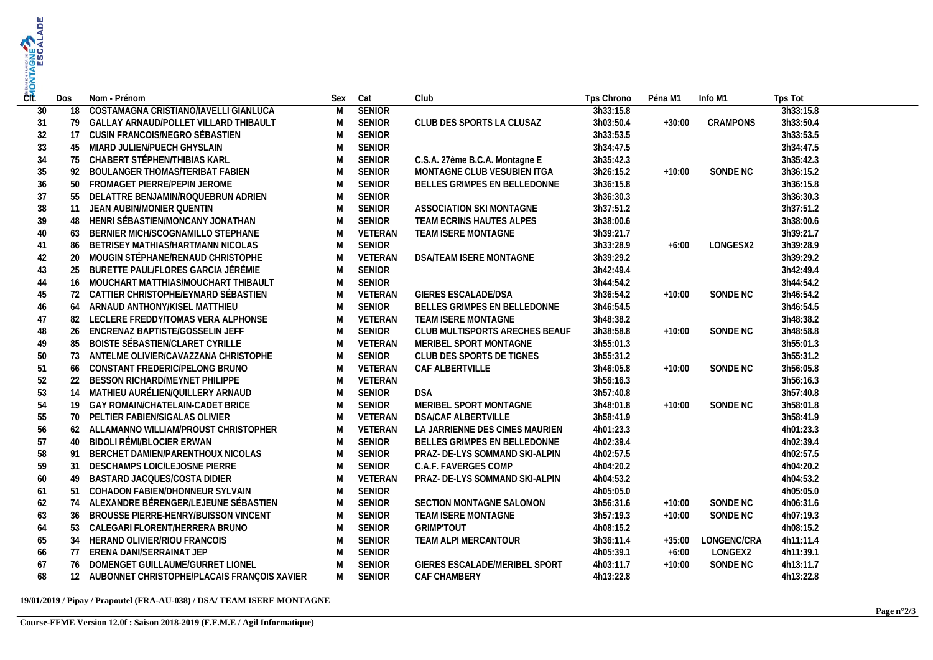| CTE. | Dos | Nom - Prénom                                   | Sex            | Cat           | Club                           | Tps Chrono | Péna M1  | Info M1     | Tps Tot   |
|------|-----|------------------------------------------------|----------------|---------------|--------------------------------|------------|----------|-------------|-----------|
| 30   | 18  | COSTAMAGNA CRISTIANO/IAVELLI GIANLUCA          | $\overline{M}$ | <b>SENIOR</b> |                                | 3h33:15.8  |          |             | 3h33:15.8 |
| 31   |     | 79 GALLAY ARNAUD/POLLET VILLARD THIBAULT       | M              | <b>SENIOR</b> | CLUB DES SPORTS LA CLUSAZ      | 3h03:50.4  | $+30:00$ | CRAMPONS    | 3h33:50.4 |
| 32   |     | 17 CUSIN FRANCOIS/NEGRO SÉBASTIEN              | M              | <b>SENIOR</b> |                                | 3h33:53.5  |          |             | 3h33:53.5 |
| 33   | 45  | MIARD JULIEN/PUECH GHYSLAIN                    | M              | SENIOR        |                                | 3h34:47.5  |          |             | 3h34:47.5 |
| 34   |     | 75 CHABERT STÉPHEN/THIBIAS KARL                | M              | SENIOR        | C.S.A. 27ème B.C.A. Montagne E | 3h35:42.3  |          |             | 3h35:42.3 |
| 35   | 92  | BOULANGER THOMAS/TERIBAT FABIEN                | M              | SENIOR        | MONTAGNE CLUB VESUBIEN ITGA    | 3h26:15.2  | $+10:00$ | SONDE NC    | 3h36:15.2 |
| 36   |     | 50 FROMAGET PIERRE/PEPIN JEROME                | M              | SENIOR        | BELLES GRIMPES EN BELLEDONNE   | 3h36:15.8  |          |             | 3h36:15.8 |
| 37   |     | 55 DELATTRE BENJAMIN/ROQUEBRUN ADRIEN          | M              | SENIOR        |                                | 3h36:30.3  |          |             | 3h36:30.3 |
| 38   | 11  | JEAN AUBIN/MONIER QUENTIN                      | M              | SENIOR        | ASSOCIATION SKI MONTAGNE       | 3h37:51.2  |          |             | 3h37:51.2 |
| 39   |     | 48 HENRI SÉBASTIEN/MONCANY JONATHAN            | M              | <b>SENIOR</b> | TEAM ECRINS HAUTES ALPES       | 3h38:00.6  |          |             | 3h38:00.6 |
| 40   | 63  | BERNIER MICH/SCOGNAMILLO STEPHANE              | M              | VETERAN       | TEAM ISERE MONTAGNE            | 3h39:21.7  |          |             | 3h39:21.7 |
| 41   |     | 86 BETRISEY MATHIAS/HARTMANN NICOLAS           | M              | <b>SENIOR</b> |                                | 3h33:28.9  | $+6:00$  | LONGESX2    | 3h39:28.9 |
| 42   |     | 20 MOUGIN STÉPHANE/RENAUD CHRISTOPHE           | M              | VETERAN       | DSA/TEAM ISERE MONTAGNE        | 3h39:29.2  |          |             | 3h39:29.2 |
| 43   |     | 25 BURETTE PAUL/FLORES GARCIA JÉRÉMIE          | M              | <b>SENIOR</b> |                                | 3h42:49.4  |          |             | 3h42:49.4 |
| 44   |     | 16 MOUCHART MATTHIAS/MOUCHART THIBAULT         | M              | SENIOR        |                                | 3h44:54.2  |          |             | 3h44:54.2 |
| 45   |     | 72 CATTIER CHRISTOPHE/EYMARD SÉBASTIEN         | M              | VETERAN       | GIERES ESCALADE/DSA            | 3h36:54.2  | $+10:00$ | SONDE NC    | 3h46:54.2 |
| 46   |     | 64 ARNAUD ANTHONY/KISEL MATTHIEU               | M              | <b>SENIOR</b> | BELLES GRIMPES EN BELLEDONNE   | 3h46:54.5  |          |             | 3h46:54.5 |
| 47   | 82  | LECLERE FREDDY/TOMAS VERA ALPHONSE             | M              | VETERAN       | TEAM ISERE MONTAGNE            | 3h48:38.2  |          |             | 3h48:38.2 |
| 48   |     | 26 ENCRENAZ BAPTISTE/GOSSELIN JEFF             | M              | SENIOR        | CLUB MULTISPORTS ARECHES BEAUF | 3h38:58.8  | $+10:00$ | SONDE NC    | 3h48:58.8 |
| 49   | 85  | BOISTE SÉBASTIEN/CLARET CYRILLE                | M              | VETERAN       | MERIBEL SPORT MONTAGNE         | 3h55:01.3  |          |             | 3h55:01.3 |
| 50   |     | 73 ANTELME OLIVIER/CAVAZZANA CHRISTOPHE        | M              | SENIOR        | CLUB DES SPORTS DE TIGNES      | 3h55:31.2  |          |             | 3h55:31.2 |
| 51   |     | 66 CONSTANT FREDERIC/PELONG BRUNO              | M              | VETERAN       | CAF ALBERTVILLE                | 3h46:05.8  | $+10:00$ | SONDE NC    | 3h56:05.8 |
| 52   |     | 22 BESSON RICHARD/MEYNET PHILIPPE              | M              | VETERAN       |                                | 3h56:16.3  |          |             | 3h56:16.3 |
| 53   |     | 14 MATHIEU AURÉLIEN/QUILLERY ARNAUD            | M              | SENIOR        | <b>DSA</b>                     | 3h57:40.8  |          |             | 3h57:40.8 |
| 54   |     | 19 GAY ROMAIN/CHATELAIN-CADET BRICE            | M              | SENIOR        | MERIBEL SPORT MONTAGNE         | 3h48:01.8  | $+10:00$ | SONDE NC    | 3h58:01.8 |
| 55   |     | 70 PELTIER FABIEN/SIGALAS OLIVIER              | M              | VETERAN       | <b>DSA/CAF ALBERTVILLE</b>     | 3h58:41.9  |          |             | 3h58:41.9 |
| 56   |     | 62 ALLAMANNO WILLIAM/PROUST CHRISTOPHER        | M              | VETERAN       | LA JARRIENNE DES CIMES MAURIEN | 4h01:23.3  |          |             | 4h01:23.3 |
| 57   |     | 40 BIDOLI RÉMI/BLOCIER ERWAN                   | M              | <b>SENIOR</b> | BELLES GRIMPES EN BELLEDONNE   | 4h02:39.4  |          |             | 4h02:39.4 |
| 58   | 91  | BERCHET DAMIEN/PARENTHOUX NICOLAS              | M              | SENIOR        | PRAZ- DE-LYS SOMMAND SKI-ALPIN | 4h02:57.5  |          |             | 4h02:57.5 |
| 59   | 31  | DESCHAMPS LOIC/LEJOSNE PIERRE                  | M              | <b>SENIOR</b> | C.A.F. FAVERGES COMP           | 4h04:20.2  |          |             | 4h04:20.2 |
| 60   | 49  | BASTARD JACQUES/COSTA DIDIER                   | M              | VETERAN       | PRAZ- DE-LYS SOMMAND SKI-ALPIN | 4h04:53.2  |          |             | 4h04:53.2 |
| 61   | 51  | COHADON FABIEN/DHONNEUR SYLVAIN                | M              | SENIOR        |                                | 4h05:05.0  |          |             | 4h05:05.0 |
| 62   |     | 74 ALEXANDRE BÉRENGER/LEJEUNE SÉBASTIEN        | M              | SENIOR        | SECTION MONTAGNE SALOMON       | 3h56:31.6  | $+10:00$ | SONDE NC    | 4h06:31.6 |
| 63   |     | 36 BROUSSE PIERRE-HENRY/BUISSON VINCENT        | M              | SENIOR        | TEAM ISERE MONTAGNE            | 3h57:19.3  | $+10:00$ | SONDE NC    | 4h07:19.3 |
| 64   |     | 53 CALEGARI FLORENT/HERRERA BRUNO              | M              | SENIOR        | <b>GRIMP'TOUT</b>              | 4h08:15.2  |          |             | 4h08:15.2 |
| 65   |     | 34 HERAND OLIVIER/RIOU FRANCOIS                | M              | SENIOR        | TEAM ALPI MERCANTOUR           | 3h36:11.4  | $+35:00$ | LONGENC/CRA | 4h11:11.4 |
| 66   |     | 77 ERENA DANI/SERRAINAT JEP                    | M              | <b>SENIOR</b> |                                | 4h05:39.1  | $+6:00$  | LONGEX2     | 4h11:39.1 |
| 67   |     | 76 DOMENGET GUILLAUME/GURRET LIONEL            | M              | <b>SENIOR</b> | GIERES ESCALADE/MERIBEL SPORT  | 4h03:11.7  | $+10:00$ | SONDE NC    | 4h13:11.7 |
| 68   |     | 12 AUBONNET CHRISTOPHE/PLACAIS FRANÇOIS XAVIER | M              | SENIOR        | CAF CHAMBERY                   | 4h13:22.8  |          |             | 4h13:22.8 |
|      |     |                                                |                |               |                                |            |          |             |           |

## **19/01/2019 / Pipay / Prapoutel (FRA-AU-038) / DSA/ TEAM ISERE MONTAGNE**